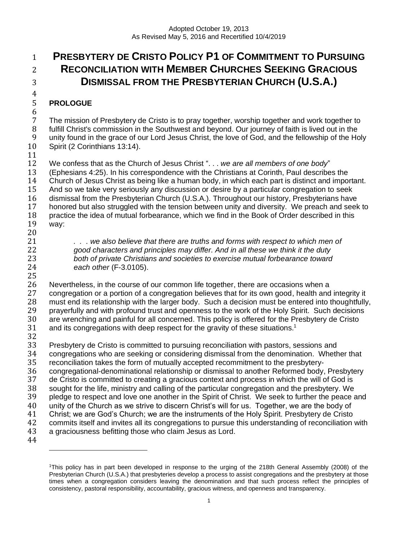# **PRESBYTERY DE CRISTO POLICY P1 OF COMMITMENT TO PURSUING RECONCILIATION WITH MEMBER CHURCHES SEEKING GRACIOUS DISMISSAL FROM THE PRESBYTERIAN CHURCH (U.S.A.)**

# $\frac{4}{5}$ **PROLOGUE**

 7 The mission of Presbytery de Cristo is to pray together, worship together and work together to<br>8 fulfill Christ's commission in the Southwest and bevond. Our iourney of faith is lived out in the fulfill Christ's commission in the Southwest and beyond. Our journey of faith is lived out in the unity found in the grace of our Lord Jesus Christ, the love of God, and the fellowship of the Holy Spirit (2 Corinthians 13:14).

## 

 We confess that as the Church of Jesus Christ ". . . *we are all members of one body*" (Ephesians 4:25). In his correspondence with the Christians at Corinth, Paul describes the Church of Jesus Christ as being like a human body, in which each part is distinct and important. And so we take very seriously any discussion or desire by a particular congregation to seek 16 dismissal from the Presbyterian Church (U.S.A.). Throughout our history, Presbyterians have<br>17 honored but also struggled with the tension between unity and diversity. We preach and seek honored but also struggled with the tension between unity and diversity. We preach and seek to practice the idea of mutual forbearance, which we find in the Book of Order described in this way:

20<br>21

 *. . . we also believe that there are truths and forms with respect to which men of good characters and principles may differ. And in all these we think it the duty both of private Christians and societies to exercise mutual forbearance toward each other* (F-3.0105).

26 Nevertheless, in the course of our common life together, there are occasions when a<br>27 congregation or a portion of a congregation believes that for its own good, health and congregation or a portion of a congregation believes that for its own good, health and integrity it must end its relationship with the larger body. Such a decision must be entered into thoughtfully, prayerfully and with profound trust and openness to the work of the Holy Spirit. Such decisions 30 are wrenching and painful for all concerned. This policy is offered for the Presbytery de Cristo 31 and its congregations with deep respect for the gravity of these situations.<sup>1</sup> and its congregations with deep respect for the gravity of these situations.<sup>1</sup>

 Presbytery de Cristo is committed to pursuing reconciliation with pastors, sessions and congregations who are seeking or considering dismissal from the denomination. Whether that reconciliation takes the form of mutually accepted recommitment to the presbytery-36 congregational-denominational relationship or dismissal to another Reformed body, Presbytery<br>37 de Cristo is committed to creating a gracious context and process in which the will of God is de Cristo is committed to creating a gracious context and process in which the will of God is sought for the life, ministry and calling of the particular congregation and the presbytery. We pledge to respect and love one another in the Spirit of Christ. We seek to further the peace and unity of the Church as we strive to discern Christ's will for us. Together, we are the body of Christ; we are God's Church; we are the instruments of the Holy Spirit. Presbytery de Cristo commits itself and invites all its congregations to pursue this understanding of reconciliation with a graciousness befitting those who claim Jesus as Lord. 

This policy has in part been developed in response to the urging of the 218th General Assembly (2008) of the Presbyterian Church (U.S.A.) that presbyteries develop a process to assist congregations and the presbytery at those times when a congregation considers leaving the denomination and that such process reflect the principles of consistency, pastoral responsibility, accountability, gracious witness, and openness and transparency.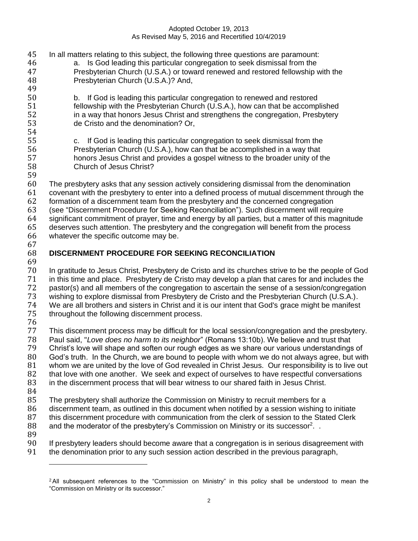In all matters relating to this subject, the following three questions are paramount: 46 a. Is God leading this particular congregation to seek dismissal from the 47 example Presbyterian Church (U.S.A.) or toward renewed and restored fellowship Presbyterian Church (U.S.A.) or toward renewed and restored fellowship with the Presbyterian Church (U.S.A.)? And, b. If God is leading this particular congregation to renewed and restored fellowship with the Presbyterian Church (U.S.A.), how can that be accomplished in a way that honors Jesus Christ and strengthens the congregation, Presbytery de Cristo and the denomination? Or, c. If God is leading this particular congregation to seek dismissal from the Presbyterian Church (U.S.A.), how can that be accomplished in a way that honors Jesus Christ and provides a gospel witness to the broader unity of the Church of Jesus Christ? The presbytery asks that any session actively considering dismissal from the denomination covenant with the presbytery to enter into a defined process of mutual discernment through the formation of a discernment team from the presbytery and the concerned congregation (see "Discernment Procedure for Seeking Reconciliation"). Such discernment will require significant commitment of prayer, time and energy by all parties, but a matter of this magnitude deserves such attention. The presbytery and the congregation will benefit from the process whatever the specific outcome may be. **DISCERNMENT PROCEDURE FOR SEEKING RECONCILIATION** 69<br>70 In gratitude to Jesus Christ, Presbytery de Cristo and its churches strive to be the people of God in this time and place. Presbytery de Cristo may develop a plan that cares for and includes the pastor(s) and all members of the congregation to ascertain the sense of a session/congregation wishing to explore dismissal from Presbytery de Cristo and the Presbyterian Church (U.S.A.). We are all brothers and sisters in Christ and it is our intent that God's grace might be manifest throughout the following discernment process. 76<br>77 This discernment process may be difficult for the local session/congregation and the presbytery. Paul said, "*Love does no harm to its neighbor*" (Romans 13:10b). We believe and trust that Christ's love will shape and soften our rough edges as we share our various understandings of God's truth. In the Church, we are bound to people with whom we do not always agree, but with whom we are united by the love of God revealed in Christ Jesus. Our responsibility is to live out that love with one another. We seek and expect of ourselves to have respectful conversations in the discernment process that will bear witness to our shared faith in Jesus Christ. The presbytery shall authorize the Commission on Ministry to recruit members for a discernment team, as outlined in this document when notified by a session wishing to initiate 87 this discernment procedure with communication from the clerk of session to the Stated Clerk 88 and the moderator of the presbytery's Commission on Ministry or its successor<sup>2</sup>. If presbytery leaders should become aware that a congregation is in serious disagreement with the denomination prior to any such session action described in the previous paragraph,

<sup>&</sup>lt;sup>2</sup>All subsequent references to the "Commission on Ministry" in this policy shall be understood to mean the "Commission on Ministry or its successor."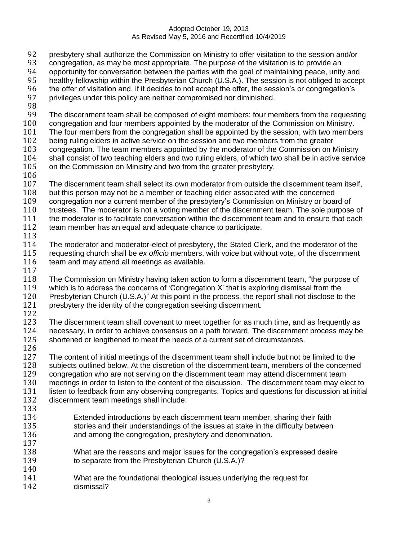- 92 presbytery shall authorize the Commission on Ministry to offer visitation to the session and/or
- 93 congregation, as may be most appropriate. The purpose of the visitation is to provide an<br>94 opportunity for conversation between the parties with the goal of maintaining peace, unity
- opportunity for conversation between the parties with the goal of maintaining peace, unity and
- healthy fellowship within the Presbyterian Church (U.S.A.). The session is not obliged to accept
- the offer of visitation and, if it decides to not accept the offer, the session's or congregation's
- privileges under this policy are neither compromised nor diminished.
- 
- The discernment team shall be composed of eight members: four members from the requesting
- congregation and four members appointed by the moderator of the Commission on Ministry.
- The four members from the congregation shall be appointed by the session, with two members
- being ruling elders in active service on the session and two members from the greater congregation. The team members appointed by the moderator of the Commission on Ministry
- shall consist of two teaching elders and two ruling elders, of which two shall be in active service
- on the Commission on Ministry and two from the greater presbytery.
- 
- The discernment team shall select its own moderator from outside the discernment team itself,
- 108 but this person may not be a member or teaching elder associated with the concerned<br>109 congregation nor a current member of the presbytery's Commission on Ministry or boar
- congregation nor a current member of the presbytery's Commission on Ministry or board of
- 110 trustees. The moderator is not a voting member of the discernment team. The sole purpose of
- the moderator is to facilitate conversation within the discernment team and to ensure that each
- team member has an equal and adequate chance to participate.
- The moderator and moderator-elect of presbytery, the Stated Clerk, and the moderator of the requesting church shall be *ex officio* members, with voice but without vote, of the discernment 116 team and may attend all meetings as available.
- 
- The Commission on Ministry having taken action to form a discernment team, "the purpose of which is to address the concerns of 'Congregation X' that is exploring dismissal from the Presbyterian Church (U.S.A.)" At this point in the process, the report shall not disclose to the presbytery the identity of the congregation seeking discernment.
- 

123 The discernment team shall covenant to meet together for as much time, and as frequently as 124 necessary, in order to achieve consensus on a path forward. The discernment process may be necessary, in order to achieve consensus on a path forward. The discernment process may be shortened or lengthened to meet the needs of a current set of circumstances. 

- 127 The content of initial meetings of the discernment team shall include but not be limited to the subjects outlined below. At the discretion of the discernment team, members of the concerned congregation who are not serving on the discernment team may attend discernment team 130 meetings in order to listen to the content of the discussion. The discernment team may elect to listen to feedback from any observing congregants. Topics and questions for discussion at initial discernment team meetings shall include:
- 
- Extended introductions by each discernment team member, sharing their faith stories and their understandings of the issues at stake in the difficulty between and among the congregation, presbytery and denomination.
- What are the reasons and major issues for the congregation's expressed desire 139 to separate from the Presbyterian Church (U.S.A.)?
- What are the foundational theological issues underlying the request for dismissal?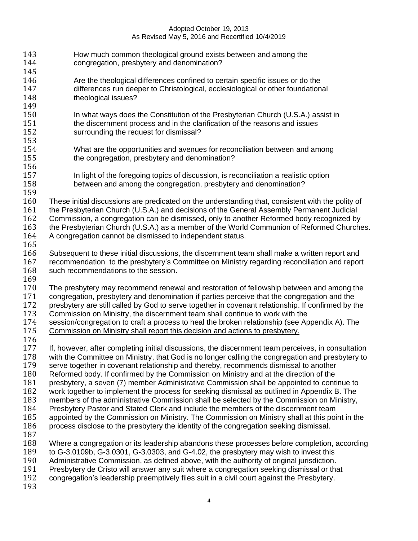| 143        | How much common theological ground exists between and among the                                                                                                                     |
|------------|-------------------------------------------------------------------------------------------------------------------------------------------------------------------------------------|
| 144        | congregation, presbytery and denomination?                                                                                                                                          |
| 145        |                                                                                                                                                                                     |
| 146        | Are the theological differences confined to certain specific issues or do the                                                                                                       |
| 147        | differences run deeper to Christological, ecclesiological or other foundational                                                                                                     |
| 148        | theological issues?                                                                                                                                                                 |
| 149        |                                                                                                                                                                                     |
| 150        | In what ways does the Constitution of the Presbyterian Church (U.S.A.) assist in                                                                                                    |
| 151        | the discernment process and in the clarification of the reasons and issues                                                                                                          |
| 152        | surrounding the request for dismissal?                                                                                                                                              |
| 153        |                                                                                                                                                                                     |
| 154        | What are the opportunities and avenues for reconciliation between and among                                                                                                         |
| 155        | the congregation, presbytery and denomination?                                                                                                                                      |
| 156        |                                                                                                                                                                                     |
| 157        | In light of the foregoing topics of discussion, is reconciliation a realistic option                                                                                                |
| 158        | between and among the congregation, presbytery and denomination?                                                                                                                    |
| 159        |                                                                                                                                                                                     |
| 160        | These initial discussions are predicated on the understanding that, consistent with the polity of                                                                                   |
| 161        | the Presbyterian Church (U.S.A.) and decisions of the General Assembly Permanent Judicial                                                                                           |
| 162        | Commission, a congregation can be dismissed, only to another Reformed body recognized by                                                                                            |
| 163        | the Presbyterian Church (U.S.A.) as a member of the World Communion of Reformed Churches.                                                                                           |
| 164        | A congregation cannot be dismissed to independent status.                                                                                                                           |
| 165        |                                                                                                                                                                                     |
| 166        | Subsequent to these initial discussions, the discernment team shall make a written report and                                                                                       |
| 167        | recommendation to the presbytery's Committee on Ministry regarding reconciliation and report                                                                                        |
| 168        | such recommendations to the session.                                                                                                                                                |
| 169        |                                                                                                                                                                                     |
| 170        | The presbytery may recommend renewal and restoration of fellowship between and among the                                                                                            |
| 171        | congregation, presbytery and denomination if parties perceive that the congregation and the                                                                                         |
| 172        | presbytery are still called by God to serve together in covenant relationship. If confirmed by the                                                                                  |
| 173        | Commission on Ministry, the discernment team shall continue to work with the                                                                                                        |
| 174        | session/congregation to craft a process to heal the broken relationship (see Appendix A). The                                                                                       |
| 175        | Commission on Ministry shall report this decision and actions to presbytery.                                                                                                        |
| 176        |                                                                                                                                                                                     |
| 177        | If, however, after completing initial discussions, the discernment team perceives, in consultation                                                                                  |
| 178<br>179 | with the Committee on Ministry, that God is no longer calling the congregation and presbytery to                                                                                    |
| 180        | serve together in covenant relationship and thereby, recommends dismissal to another                                                                                                |
| 181        | Reformed body. If confirmed by the Commission on Ministry and at the direction of the<br>presbytery, a seven (7) member Administrative Commission shall be appointed to continue to |
| 182        | work together to implement the process for seeking dismissal as outlined in Appendix B. The                                                                                         |
| 183        | members of the administrative Commission shall be selected by the Commission on Ministry,                                                                                           |
| 184        | Presbytery Pastor and Stated Clerk and include the members of the discernment team                                                                                                  |
| 185        | appointed by the Commission on Ministry. The Commission on Ministry shall at this point in the                                                                                      |
| 186        | process disclose to the presbytery the identity of the congregation seeking dismissal.                                                                                              |
| 187        |                                                                                                                                                                                     |
| 188        | Where a congregation or its leadership abandons these processes before completion, according                                                                                        |
| 189        | to G-3.0109b, G-3.0301, G-3.0303, and G-4.02, the presbytery may wish to invest this                                                                                                |
| 190        | Administrative Commission, as defined above, with the authority of original jurisdiction.                                                                                           |
| 191        | Presbytery de Cristo will answer any suit where a congregation seeking dismissal or that                                                                                            |
| 192        | congregation's leadership preemptively files suit in a civil court against the Presbytery.                                                                                          |
| 193        |                                                                                                                                                                                     |
|            |                                                                                                                                                                                     |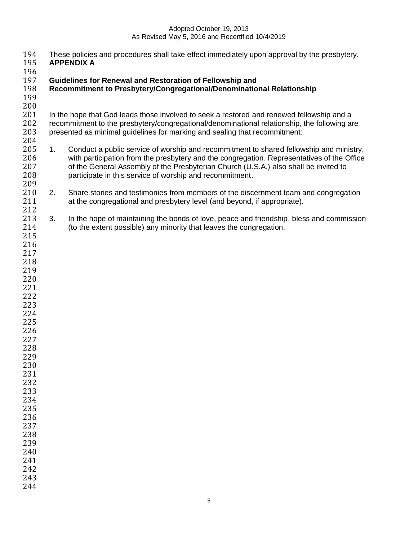- 194 These policies and procedures shall take effect immediately upon approval by the presbytery.<br>195 APPENDIX A
- **APPENDIX A**
- 196<br>197
- **Guidelines for Renewal and Restoration of Fellowship and**
- **Recommitment to Presbytery/Congregational/Denominational Relationship**
- 

 $\frac{200}{201}$ In the hope that God leads those involved to seek a restored and renewed fellowship and a 202 recommitment to the presbytery/congregational/denominational relationship, the following are<br>203 presented as minimal quidelines for marking and sealing that recommitment: presented as minimal guidelines for marking and sealing that recommitment:

- 205 1. Conduct a public service of worship and recommitment to shared fellowship and ministry, with participation from the presbytery and the congregation. Representatives of the Office of the General Assembly of the Presbyterian Church (U.S.A.) also shall be invited to participate in this service of worship and recommitment.
- 2. Share stories and testimonies from members of the discernment team and congregation at the congregational and presbytery level (and beyond, if appropriate).
- 3. In the hope of maintaining the bonds of love, peace and friendship, bless and commission (to the extent possible) any minority that leaves the congregation.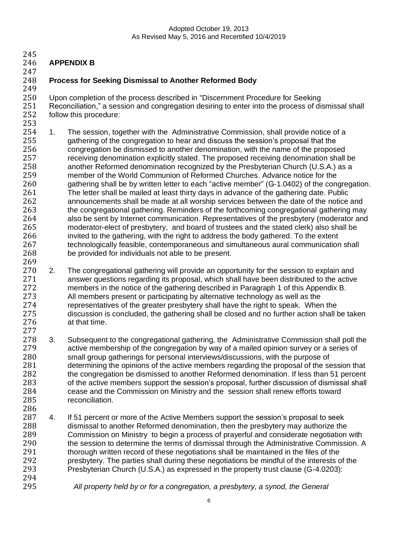- 
- **APPENDIX B**
- 
- 

# **Process for Seeking Dismissal to Another Reformed Body**

 Upon completion of the process described in "Discernment Procedure for Seeking 251 Reconciliation," a session and congregation desiring to enter into the process of dismissal shall<br>252 follow this procedure: follow this procedure:

- 1. The session, together with the Administrative Commission, shall provide notice of a gathering of the congregation to hear and discuss the session's proposal that the congregation be dismissed to another denomination, with the name of the proposed receiving denomination explicitly stated. The proposed receiving denomination shall be another Reformed denomination recognized by the Presbyterian Church (U.S.A.) as a member of the World Communion of Reformed Churches. Advance notice for the gathering shall be by written letter to each "active member" (G-1.0402) of the congregation. The letter shall be mailed at least thirty days in advance of the gathering date. Public announcements shall be made at all worship services between the date of the notice and the congregational gathering. Reminders of the forthcoming congregational gathering may also be sent by Internet communication. Representatives of the presbytery (moderator and moderator-elect of presbytery, and board of trustees and the stated clerk) also shall be 266 invited to the gathering, with the right to address the body gathered. To the extent 267 technologically feasible, contemporaneous and simultaneous aural communication technologically feasible, contemporaneous and simultaneous aural communication shall be provided for individuals not able to be present.
- 269<br>270 270 2. The congregational gathering will provide an opportunity for the session to explain and<br>271 answer questions regarding its proposal, which shall have been distributed to the active answer questions regarding its proposal, which shall have been distributed to the active members in the notice of the gathering described in Paragraph 1 of this Appendix B. All members present or participating by alternative technology as well as the representatives of the greater presbytery shall have the right to speak. When the discussion is concluded, the gathering shall be closed and no further action shall be taken at that time.
- 3. Subsequent to the congregational gathering, the Administrative Commission shall poll the active membership of the congregation by way of a mailed opinion survey or a series of small group gatherings for personal interviews/discussions, with the purpose of determining the opinions of the active members regarding the proposal of the session that the congregation be dismissed to another Reformed denomination. If less than 51 percent of the active members support the session's proposal, further discussion of dismissal shall 284 cease and the Commission on Ministry and the session shall renew efforts toward<br>285 ceconciliation. reconciliation.
- 287 4. If 51 percent or more of the Active Members support the session's proposal to seek dismissal to another Reformed denomination, then the presbytery may authorize the Commission on Ministry to begin a process of prayerful and considerate negotiation with 290 the session to determine the terms of dismissal through the Administrative Commission. A thorough written record of these negotiations shall be maintained in the files of the presbytery. The parties shall during these negotiations be mindful of the interests of the Presbyterian Church (U.S.A.) as expressed in the property trust clause (G-4.0203):
- 

*All property held by or for a congregation, a presbytery, a synod, the General*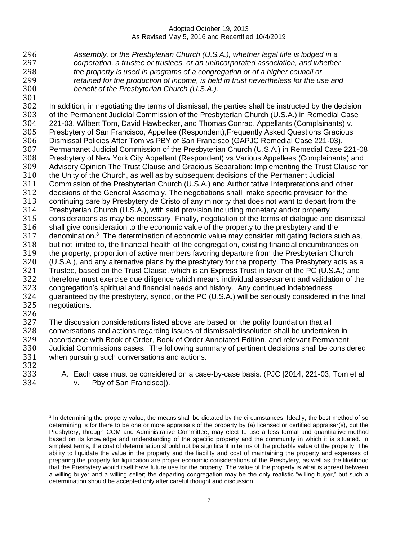*Assembly, or the Presbyterian Church (U.S.A.), whether legal title is lodged in a corporation, a trustee or trustees, or an unincorporated association, and whether the property is used in programs of a congregation or of a higher council or retained for the production of income, is held in trust nevertheless for the use and benefit of the Presbyterian Church (U.S.A.).*

 In addition, in negotiating the terms of dismissal, the parties shall be instructed by the decision of the Permanent Judicial Commission of the Presbyterian Church (U.S.A.) in Remedial Case 221-03, Wilbert Tom, David Hawbecker, and Thomas Conrad, Appellants (Complainants) v. Presbytery of San Francisco, Appellee (Respondent),Frequently Asked Questions Gracious Dismissal Policies After Tom vs PBY of San Francisco (GAPJC Remedial Case 221-03), Permananet Judicial Commission of the Presbyterian Church (U.S.A.) in Remedial Case 221-08 Presbytery of New York City Appellant (Respondent) vs Various Appellees (Complainants) and Advisory Opinion The Trust Clause and Gracious Separation: Implementing the Trust Clause for the Unity of the Church, as well as by subsequent decisions of the Permanent Judicial Commission of the Presbyterian Church (U.S.A.) and Authoritative Interpretations and other decisions of the General Assembly. The negotiations shall make specific provision for the continuing care by Presbytery de Cristo of any minority that does not want to depart from the Presbyterian Church (U.S.A.), with said provision including monetary and/or property considerations as may be necessary. Finally, negotiation of the terms of dialogue and dismissal 316 shall give consideration to the economic value of the property to the presbytery and the 317 denomination.<sup>3</sup> The determination of economic value may consider mitigating factors such as, but not limited to, the financial health of the congregation, existing financial encumbrances on the property, proportion of active members favoring departure from the Presbyterian Church (U.S.A.), and any alternative plans by the presbytery for the property. The Presbytery acts as a Trustee, based on the Trust Clause, which is an Express Trust in favor of the PC (U.S.A.) and therefore must exercise due diligence which means individual assessment and validation of the congregation's spiritual and financial needs and history. Any continued indebtedness guaranteed by the presbytery, synod, or the PC (U.S.A.) will be seriously considered in the final negotiations. 

 The discussion considerations listed above are based on the polity foundation that all conversations and actions regarding issues of dismissal/dissolution shall be undertaken in accordance with Book of Order, Book of Order Annotated Edition, and relevant Permanent Judicial Commissions cases. The following summary of pertinent decisions shall be considered when pursuing such conversations and actions. 

 A. Each case must be considered on a case-by-case basis. (PJC [2014, 221-03, Tom et al v. Pby of San Francisco]).

<sup>&</sup>lt;sup>3</sup> In determining the property value, the means shall be dictated by the circumstances. Ideally, the best method of so determining is for there to be one or more appraisals of the property by (a) licensed or certified appraiser(s), but the Presbytery, through COM and Administrative Committee, may elect to use a less formal and quantitative method based on its knowledge and understanding of the specific property and the community in which it is situated. In simplest terms, the cost of determination should not be significant in terms of the probable value of the property. The ability to liquidate the value in the property and the liability and cost of maintaining the property and expenses of preparing the property for liquidation are proper economic considerations of the Presbytery, as well as the likelihood that the Presbytery would itself have future use for the property. The value of the property is what is agreed between a willing buyer and a willing seller; the departing congregation may be the only realistic "willing buyer," but such a determination should be accepted only after careful thought and discussion.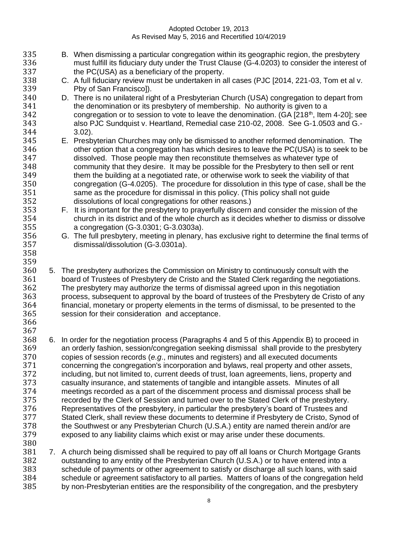- B. When dismissing a particular congregation within its geographic region, the presbytery 336 must fulfill its fiduciary duty under the Trust Clause (G-4.0203) to consider the interest of 337 the PC(USA) as a beneficiary of the property. the PC(USA) as a beneficiary of the property. C. A full fiduciary review must be undertaken in all cases (PJC [2014, 221-03, Tom et al v. Pby of San Francisco]). D. There is no unilateral right of a Presbyterian Church (USA) congregation to depart from the denomination or its presbytery of membership. No authority is given to a 342 congregation or to session to vote to leave the denomination. (GA  $[218<sup>th</sup>$ , Item 4-20]; see also PJC Sundquist v. Heartland, Remedial case 210-02, 2008. See G-1.0503 and G.- 3.02). E. Presbyterian Churches may only be dismissed to another reformed denomination. The other option that a congregation has which desires to leave the PC(USA) is to seek to be dissolved. Those people may then reconstitute themselves as whatever type of community that they desire. It may be possible for the Presbytery to then sell or rent them the building at a negotiated rate, or otherwise work to seek the viability of that congregation (G-4.0205). The procedure for dissolution in this type of case, shall be the same as the procedure for dismissal in this policy. (This policy shall not guide dissolutions of local congregations for other reasons.) F. It is important for the presbytery to prayerfully discern and consider the mission of the church in its district and of the whole church as it decides whether to dismiss or dissolve a congregation (G-3.0301; G-3.0303a). 356 G. The full presbytery, meeting in plenary, has exclusive right to determine the final terms of 357 dismissal/dissolution (G-3.0301a). dismissal/dissolution (G-3.0301a). 359<br>360 5. The presbytery authorizes the Commission on Ministry to continuously consult with the board of Trustees of Presbytery de Cristo and the Stated Clerk regarding the negotiations. The presbytery may authorize the terms of dismissal agreed upon in this negotiation process, subsequent to approval by the board of trustees of the Presbytery de Cristo of any financial, monetary or property elements in the terms of dismissal, to be presented to the session for their consideration and acceptance. 6. In order for the negotiation process (Paragraphs 4 and 5 of this Appendix B) to proceed in an orderly fashion, session/congregation seeking dismissal shall provide to the presbytery copies of session records (*e.g*., minutes and registers) and all executed documents concerning the congregation's incorporation and bylaws, real property and other assets, including, but not limited to, current deeds of trust, loan agreements, liens, property and casualty insurance, and statements of tangible and intangible assets. Minutes of all meetings recorded as a part of the discernment process and dismissal process shall be recorded by the Clerk of Session and turned over to the Stated Clerk of the presbytery. Representatives of the presbytery, in particular the presbytery's board of Trustees and Stated Clerk, shall review these documents to determine if Presbytery de Cristo, Synod of the Southwest or any Presbyterian Church (U.S.A.) entity are named therein and/or are exposed to any liability claims which exist or may arise under these documents.
- 

 7. A church being dismissed shall be required to pay off all loans or Church Mortgage Grants outstanding to any entity of the Presbyterian Church (U.S.A.) or to have entered into a schedule of payments or other agreement to satisfy or discharge all such loans, with said schedule or agreement satisfactory to all parties. Matters of loans of the congregation held by non-Presbyterian entities are the responsibility of the congregation, and the presbytery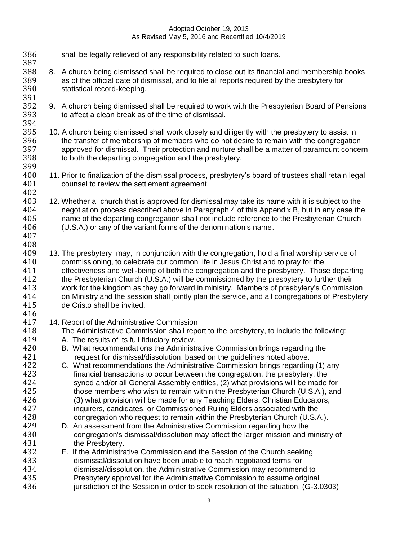386 shall be legally relieved of any responsibility related to such loans. 387<br>388 8. A church being dismissed shall be required to close out its financial and membership books as of the official date of dismissal, and to file all reports required by the presbytery for statistical record-keeping. 391<br>392 392 9. A church being dismissed shall be required to work with the Presbyterian Board of Pensions<br>393 to affect a clean break as of the time of dismissal. to affect a clean break as of the time of dismissal. 394<br>395 10. A church being dismissed shall work closely and diligently with the presbytery to assist in the transfer of membership of members who do not desire to remain with the congregation approved for dismissal. Their protection and nurture shall be a matter of paramount concern to both the departing congregation and the presbytery. 11. Prior to finalization of the dismissal process, presbytery's board of trustees shall retain legal counsel to review the settlement agreement. 402<br>403 12. Whether a church that is approved for dismissal may take its name with it is subject to the 404 negotiation process described above in Paragraph 4 of this Appendix B, but in any case the 405 name of the departing congregation shall not include reference to the Presbyterian Church name of the departing congregation shall not include reference to the Presbyterian Church (U.S.A.) or any of the variant forms of the denomination's name. 13. The presbytery may, in conjunction with the congregation, hold a final worship service of 410 commissioning, to celebrate our common life in Jesus Christ and to pray for the<br>411 effectiveness and well-being of both the congregation and the presbytery. Thos 411 effectiveness and well-being of both the congregation and the presbytery. Those departing<br>412 the Presbyterian Church (U.S.A.) will be commissioned by the presbytery to further their the Presbyterian Church (U.S.A.) will be commissioned by the presbytery to further their work for the kingdom as they go forward in ministry. Members of presbytery's Commission on Ministry and the session shall jointly plan the service, and all congregations of Presbytery de Cristo shall be invited. 417 14. Report of the Administrative Commission<br>418 The Administrative Commission shall repo The Administrative Commission shall report to the presbytery, to include the following: A. The results of its full fiduciary review. B. What recommendations the Administrative Commission brings regarding the request for dismissal/dissolution, based on the guidelines noted above. C. What recommendations the Administrative Commission brings regarding (1) any financial transactions to occur between the congregation, the presbytery, the synod and/or all General Assembly entities, (2) what provisions will be made for those members who wish to remain within the Presbyterian Church (U.S.A.), and (3) what provision will be made for any Teaching Elders, Christian Educators, inquirers, candidates, or Commissioned Ruling Elders associated with the congregation who request to remain within the Presbyterian Church (U.S.A.). D. An assessment from the Administrative Commission regarding how the congregation's dismissal/dissolution may affect the larger mission and ministry of 431 the Presbytery. E. If the Administrative Commission and the Session of the Church seeking dismissal/dissolution have been unable to reach negotiated terms for dismissal/dissolution, the Administrative Commission may recommend to Presbytery approval for the Administrative Commission to assume original jurisdiction of the Session in order to seek resolution of the situation. (G-3.0303)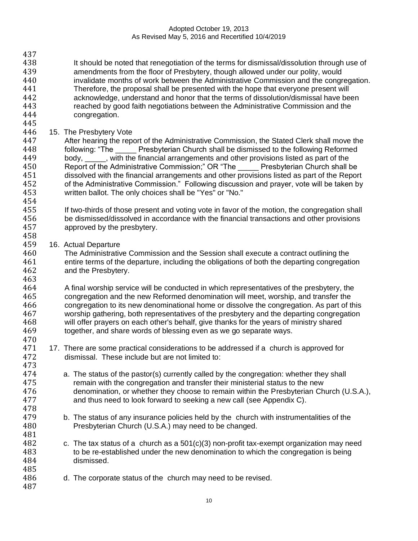- 437 438 It should be noted that renegotiation of the terms for dismissal/dissolution through use of 439 amendments from the floor of Presbytery, though allowed under our polity, would amendments from the floor of Presbytery, though allowed under our polity, would 440 invalidate months of work between the Administrative Commission and the congregation. 441 Therefore, the proposal shall be presented with the hope that everyone present will 442 acknowledge, understand and honor that the terms of dissolution/dismissal have been<br>443 reached by good faith negotiations between the Administrative Commission and the reached by good faith negotiations between the Administrative Commission and the 444 congregation.
- 445

446 15. The Presbytery Vote<br>447 Her hearing the repeat After hearing the report of the Administrative Commission, the Stated Clerk shall move the 448 following: "The Presbyterian Church shall be dismissed to the following Reformed 449 body, with the financial arrangements and other provisions listed as part of the 450 Report of the Administrative Commission;" OR "The Presbyterian Church shall be 451 dissolved with the financial arrangements and other provisions listed as part of the Report 452 of the Administrative Commission." Following discussion and prayer, vote will be taken by<br>453 written ballot. The only choices shall be "Yes" or "No." written ballot. The only choices shall be "Yes" or "No." 454

- 455 If two-thirds of those present and voting vote in favor of the motion, the congregation shall 456 be dismissed/dissolved in accordance with the financial transactions and other provisions 457 approved by the presbytery.
- 458<br>459 16. Actual Departure

460 The Administrative Commission and the Session shall execute a contract outlining the 461 entire terms of the departure, including the obligations of both the departing congregation<br>462 and the Presbytery. and the Presbytery. 463

464 A final worship service will be conducted in which representatives of the presbytery, the 465 congregation and the new Reformed denomination will meet, worship, and transfer the 466 congregation to its new denominational home or dissolve the congregation. As part of this 467 worship gathering, both representatives of the presbytery and the departing congregation 468 will offer prayers on each other's behalf, give thanks for the years of ministry shared<br>469 together, and share words of blessing even as we go separate ways. together, and share words of blessing even as we go separate ways. 470

- 471 17. There are some practical considerations to be addressed if a church is approved for 472 dismissal. These include but are not limited to: 473
- 474 a. The status of the pastor(s) currently called by the congregation: whether they shall 475 remain with the congregation and transfer their ministerial status to the new 476 denomination, or whether they choose to remain within the Presbyterian Church (U.S.A.),<br>477 and thus need to look forward to seeking a new call (see Appendix C). and thus need to look forward to seeking a new call (see Appendix C).
- 479 b. The status of any insurance policies held by the church with instrumentalities of the 480 Presbyterian Church (U.S.A.) may need to be changed.
- 482 c. The tax status of a church as a 501(c)(3) non-profit tax-exempt organization may need 483 to be re-established under the new denomination to which the congregation is being 484 dismissed.
- 486 d. The corporate status of the church may need to be revised.
- 487

485

478

481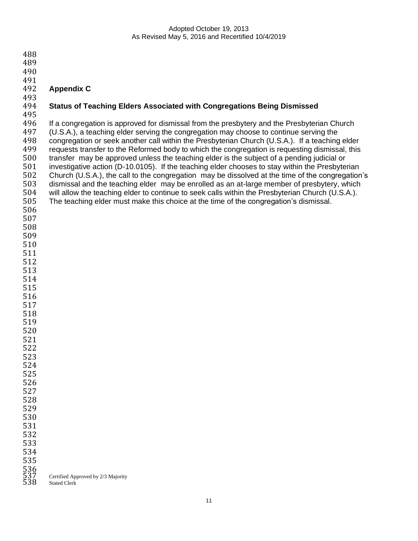| 488               |                                                                                                  |
|-------------------|--------------------------------------------------------------------------------------------------|
| 489               |                                                                                                  |
| 490               |                                                                                                  |
| 491               |                                                                                                  |
| 492               | <b>Appendix C</b>                                                                                |
| 493               |                                                                                                  |
| 494               | <b>Status of Teaching Elders Associated with Congregations Being Dismissed</b>                   |
| 495               |                                                                                                  |
| 496               | If a congregation is approved for dismissal from the presbytery and the Presbyterian Church      |
| 497               | (U.S.A.), a teaching elder serving the congregation may choose to continue serving the           |
| 498               | congregation or seek another call within the Presbyterian Church (U.S.A.). If a teaching elder   |
| 499               | requests transfer to the Reformed body to which the congregation is requesting dismissal, this   |
|                   |                                                                                                  |
| 500               | transfer may be approved unless the teaching elder is the subject of a pending judicial or       |
| 501               | investigative action (D-10.0105). If the teaching elder chooses to stay within the Presbyterian  |
| 502               | Church (U.S.A.), the call to the congregation may be dissolved at the time of the congregation's |
| 503               | dismissal and the teaching elder may be enrolled as an at-large member of presbytery, which      |
| 504               | will allow the teaching elder to continue to seek calls within the Presbyterian Church (U.S.A.). |
| 505               | The teaching elder must make this choice at the time of the congregation's dismissal.            |
| 506               |                                                                                                  |
| 507               |                                                                                                  |
| 508               |                                                                                                  |
| 509               |                                                                                                  |
| 510               |                                                                                                  |
| 511               |                                                                                                  |
| 512               |                                                                                                  |
| 513               |                                                                                                  |
| 514               |                                                                                                  |
|                   |                                                                                                  |
| 515               |                                                                                                  |
| 516               |                                                                                                  |
| 517               |                                                                                                  |
| 518               |                                                                                                  |
| 519               |                                                                                                  |
| 520               |                                                                                                  |
| 521               |                                                                                                  |
| 522               |                                                                                                  |
| 523               |                                                                                                  |
| 524               |                                                                                                  |
| 525               |                                                                                                  |
| 526               |                                                                                                  |
| 527               |                                                                                                  |
| 528               |                                                                                                  |
| 529               |                                                                                                  |
| 530               |                                                                                                  |
|                   |                                                                                                  |
| 531               |                                                                                                  |
| 532               |                                                                                                  |
| 533               |                                                                                                  |
| 534               |                                                                                                  |
| 535               |                                                                                                  |
|                   |                                                                                                  |
| 536<br>537<br>538 | Certified Approved by 2/3 Majority<br><b>Stated Clerk</b>                                        |